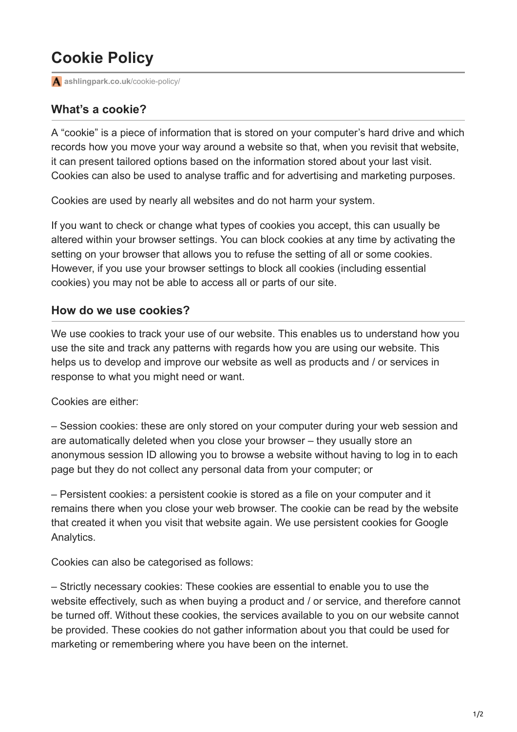## **Cookie Policy**

**[ashlingpark.co.uk](https://www.ashlingpark.co.uk/cookie-policy/)**/cookie-policy/

## **What's a cookie?**

A "cookie" is a piece of information that is stored on your computer's hard drive and which records how you move your way around a website so that, when you revisit that website, it can present tailored options based on the information stored about your last visit. Cookies can also be used to analyse traffic and for advertising and marketing purposes.

Cookies are used by nearly all websites and do not harm your system.

If you want to check or change what types of cookies you accept, this can usually be altered within your browser settings. You can block cookies at any time by activating the setting on your browser that allows you to refuse the setting of all or some cookies. However, if you use your browser settings to block all cookies (including essential cookies) you may not be able to access all or parts of our site.

## **How do we use cookies?**

We use cookies to track your use of our website. This enables us to understand how you use the site and track any patterns with regards how you are using our website. This helps us to develop and improve our website as well as products and / or services in response to what you might need or want.

Cookies are either:

– Session cookies: these are only stored on your computer during your web session and are automatically deleted when you close your browser – they usually store an anonymous session ID allowing you to browse a website without having to log in to each page but they do not collect any personal data from your computer; or

– Persistent cookies: a persistent cookie is stored as a file on your computer and it remains there when you close your web browser. The cookie can be read by the website that created it when you visit that website again. We use persistent cookies for Google Analytics.

Cookies can also be categorised as follows:

– Strictly necessary cookies: These cookies are essential to enable you to use the website effectively, such as when buying a product and / or service, and therefore cannot be turned off. Without these cookies, the services available to you on our website cannot be provided. These cookies do not gather information about you that could be used for marketing or remembering where you have been on the internet.